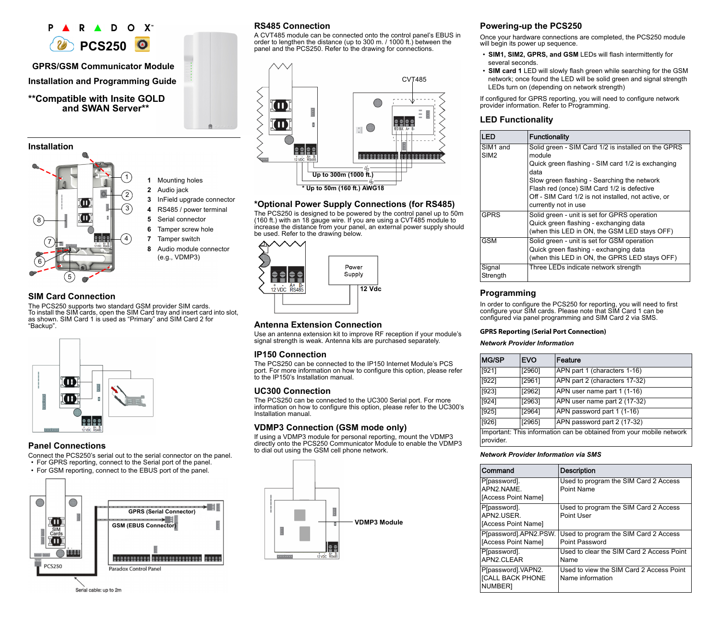



## **SIM Card Connection**

The PCS250 supports two standard GSM provider SIM cards. To install the SIM cards, open the SIM Card tray and insert card into slot, as shown. SIM Card 1 is used as "Primary" and SIM Card 2 for "Backup".

**1** Mounting holes **2** Audio jack

 InField upgrade connector RS485 / power terminal Serial connector Tamper screw hole Tamper switch

**8** Audio module connector (e.g., VDMP3)



# **Panel Connections**

Connect the PCS250's serial out to the serial connector on the panel. • For GPRS reporting, connect to the Serial port of the panel.

• For GSM reporting, connect to the EBUS port of the panel.



### Serial cable: up to 2m

# **RS485 Connection**

A CVT485 module can be connected onto the control panel's EBUS in order to lengthen the distance (up to 300 m. / 1000 ft.) between the panel and the PCS250. Refer to the drawing for connections.



## **\*Optional Power Supply Connections (for RS485)**

The PCS250 is designed to be powered by the control panel up to 50m (160 ft.) with an 18 gauge wire. If you are using a CVT485 module to increase the distance from your panel, an external power supply should be used. Refer to the drawing below.



# **Antenna Extension Connection**

Use an antenna extension kit to improve RF reception if your module's signal strength is weak. Antenna kits are purchased separately.

### **IP150 Connection**

The PCS250 can be connected to the IP150 Internet Module's PCS port. For more information on how to configure this option, please refer to the IP150's Installation manual.

### **UC300 Connection**

The PCS250 can be connected to the UC300 Serial port. For more information on how to configure this option, please refer to the UC300's Installation manual.

### **VDMP3 Connection (GSM mode only)**

If using a VDMP3 module for personal reporting, mount the VDMP3 directly onto the PCS250 Communicator Module to enable the VDMP3 to dial out using the GSM cell phone network.



## **Powering-up the PCS250**

Once your hardware connections are completed, the PCS250 module will begin its power up sequence.

- **SIM1, SIM2, GPRS, and GSM** LEDs will flash intermittently for several seconds.
- **SIM card 1** LED will slowly flash green while searching for the GSM network; once found the LED will be solid green and signal strength LEDs turn on (depending on network strength)

If configured for GPRS reporting, you will need to configure network provider information. Refer to Programming.

# **LED Functionality**

| <b>LED</b>                               | <b>Functionality</b>                                          |
|------------------------------------------|---------------------------------------------------------------|
| SIM <sub>1</sub> and<br>SIM <sub>2</sub> | Solid green - SIM Card 1/2 is installed on the GPRS<br>module |
|                                          | Quick green flashing - SIM card 1/2 is exchanging<br>data     |
|                                          | Slow green flashing - Searching the network                   |
|                                          | Flash red (once) SIM Card 1/2 is defective                    |
|                                          | Off - SIM Card 1/2 is not installed, not active, or           |
|                                          | currently not in use                                          |
| <b>GPRS</b>                              | Solid green - unit is set for GPRS operation                  |
|                                          | Quick green flashing - exchanging data                        |
|                                          | (when this LED in ON, the GSM LED stays OFF)                  |
| <b>GSM</b>                               | Solid green - unit is set for GSM operation                   |
|                                          | Quick green flashing - exchanging data                        |
|                                          | (when this LED in ON, the GPRS LED stays OFF)                 |
| Signal                                   | Three LEDs indicate network strength                          |
| Strength                                 |                                                               |

# **Programming**

In order to configure the PCS250 for reporting, you will need to first configure your SIM cards. Please note that SIM Card 1 can be configured via panel programming and SIM Card 2 via SMS.

### **GPRS Reporting (Serial Port Connection)**

*Network Provider Information*

| <b>MG/SP</b>                                                                      | <b>EVO</b> | Feature                       |
|-----------------------------------------------------------------------------------|------------|-------------------------------|
| [921]                                                                             | [2960]     | APN part 1 (characters 1-16)  |
| [922]                                                                             | [2961]     | APN part 2 (characters 17-32) |
| [923]                                                                             | [2962]     | APN user name part 1 (1-16)   |
| [924]                                                                             | [2963]     | APN user name part 2 (17-32)  |
| $[925]$                                                                           | [2964]     | APN password part 1 (1-16)    |
| [926]                                                                             | [2965]     | APN password part 2 (17-32)   |
| Important: This information can be obtained from your mobile network<br>provider. |            |                               |

### *Network Provider Information via SMS*

| Command                                                  | Description                                                  |
|----------------------------------------------------------|--------------------------------------------------------------|
| P[password].<br>APN2 NAME<br>[Access Point Name]         | Used to program the SIM Card 2 Access<br>Point Name          |
| P[password].<br>APN2 USER<br>[Access Point Name]         | Used to program the SIM Card 2 Access<br>Point User          |
| P[password].APN2.PSW.<br>[Access Point Name]             | Used to program the SIM Card 2 Access<br>Point Password      |
| P[password].<br>APN2 CLEAR                               | Used to clear the SIM Card 2 Access Point<br>Name            |
| P[password] VAPN2.<br><b>[CALL BACK PHONE</b><br>NUMBER] | Used to view the SIM Card 2 Access Point<br>Name information |